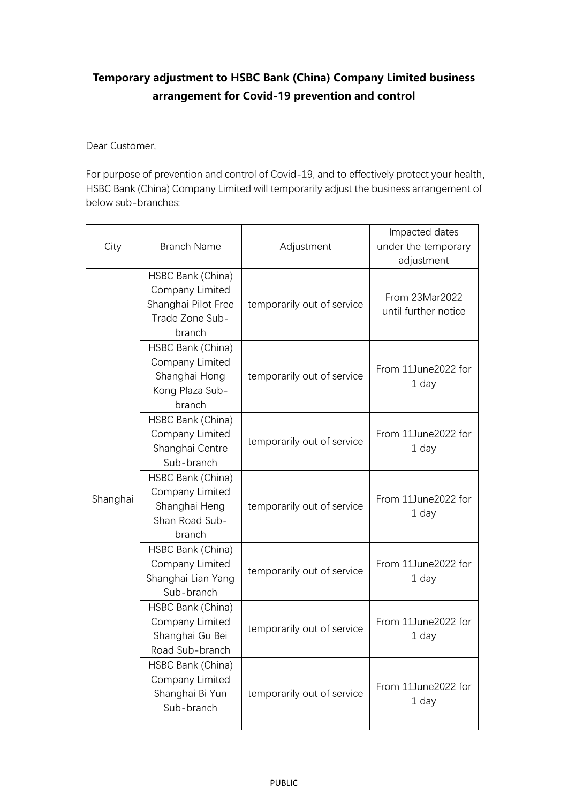## **Temporary adjustment to HSBC Bank (China) Company Limited business arrangement for Covid-19 prevention and control**

Dear Customer,

For purpose of prevention and control of Covid-19, and to effectively protect your health, HSBC Bank (China) Company Limited will temporarily adjust the business arrangement of below sub-branches:

| City     | <b>Branch Name</b>                                                                       | Adjustment                 | Impacted dates<br>under the temporary<br>adjustment |
|----------|------------------------------------------------------------------------------------------|----------------------------|-----------------------------------------------------|
| Shanghai | HSBC Bank (China)<br>Company Limited<br>Shanghai Pilot Free<br>Trade Zone Sub-<br>branch | temporarily out of service | From 23Mar2022<br>until further notice              |
|          | HSBC Bank (China)<br>Company Limited<br>Shanghai Hong<br>Kong Plaza Sub-<br>branch       | temporarily out of service | From 11June2022 for<br>1 day                        |
|          | HSBC Bank (China)<br>Company Limited<br>Shanghai Centre<br>Sub-branch                    | temporarily out of service | From 11June2022 for<br>1 day                        |
|          | HSBC Bank (China)<br>Company Limited<br>Shanghai Heng<br>Shan Road Sub-<br>branch        | temporarily out of service | From 11June2022 for<br>1 day                        |
|          | HSBC Bank (China)<br>Company Limited<br>Shanghai Lian Yang<br>Sub-branch                 | temporarily out of service | From 11June2022 for<br>1 day                        |
|          | HSBC Bank (China)<br>Company Limited<br>Shanghai Gu Bei<br>Road Sub-branch               | temporarily out of service | From 11June2022 for<br>1 day                        |
|          | HSBC Bank (China)<br>Company Limited<br>Shanghai Bi Yun<br>Sub-branch                    | temporarily out of service | From 11June2022 for<br>1 day                        |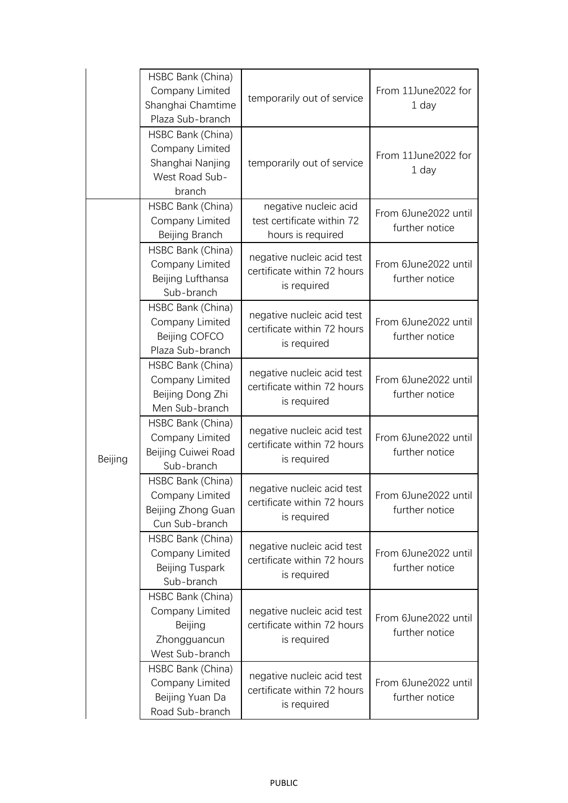|         | HSBC Bank (China)<br>Company Limited<br>Shanghai Chamtime<br>Plaza Sub-branch        | temporarily out of service                                               | From 11June2022 for<br>1 day           |
|---------|--------------------------------------------------------------------------------------|--------------------------------------------------------------------------|----------------------------------------|
|         | HSBC Bank (China)<br>Company Limited<br>Shanghai Nanjing<br>West Road Sub-<br>branch | temporarily out of service                                               | From 11June2022 for<br>1 day           |
| Beijing | HSBC Bank (China)<br>Company Limited<br>Beijing Branch                               | negative nucleic acid<br>test certificate within 72<br>hours is required | From 6June2022 until<br>further notice |
|         | HSBC Bank (China)<br>Company Limited<br>Beijing Lufthansa<br>Sub-branch              | negative nucleic acid test<br>certificate within 72 hours<br>is required | From 6June2022 until<br>further notice |
|         | HSBC Bank (China)<br>Company Limited<br>Beijing COFCO<br>Plaza Sub-branch            | negative nucleic acid test<br>certificate within 72 hours<br>is required | From 6June2022 until<br>further notice |
|         | HSBC Bank (China)<br>Company Limited<br>Beijing Dong Zhi<br>Men Sub-branch           | negative nucleic acid test<br>certificate within 72 hours<br>is required | From 6June2022 until<br>further notice |
|         | HSBC Bank (China)<br>Company Limited<br>Beijing Cuiwei Road<br>Sub-branch            | negative nucleic acid test<br>certificate within 72 hours<br>is required | From 6June2022 until<br>further notice |
|         | HSBC Bank (China)<br>Company Limited<br>Beijing Zhong Guan<br>Cun Sub-branch         | negative nucleic acid test<br>certificate within 72 hours<br>is required | From 6June2022 until<br>further notice |
|         | HSBC Bank (China)<br>Company Limited<br>Beijing Tuspark<br>Sub-branch                | negative nucleic acid test<br>certificate within 72 hours<br>is required | From 6June2022 until<br>further notice |
|         | HSBC Bank (China)<br>Company Limited<br>Beijing<br>Zhongguancun<br>West Sub-branch   | negative nucleic acid test<br>certificate within 72 hours<br>is required | From 6June2022 until<br>further notice |
|         | HSBC Bank (China)<br>Company Limited<br>Beijing Yuan Da<br>Road Sub-branch           | negative nucleic acid test<br>certificate within 72 hours<br>is required | From 6June2022 until<br>further notice |